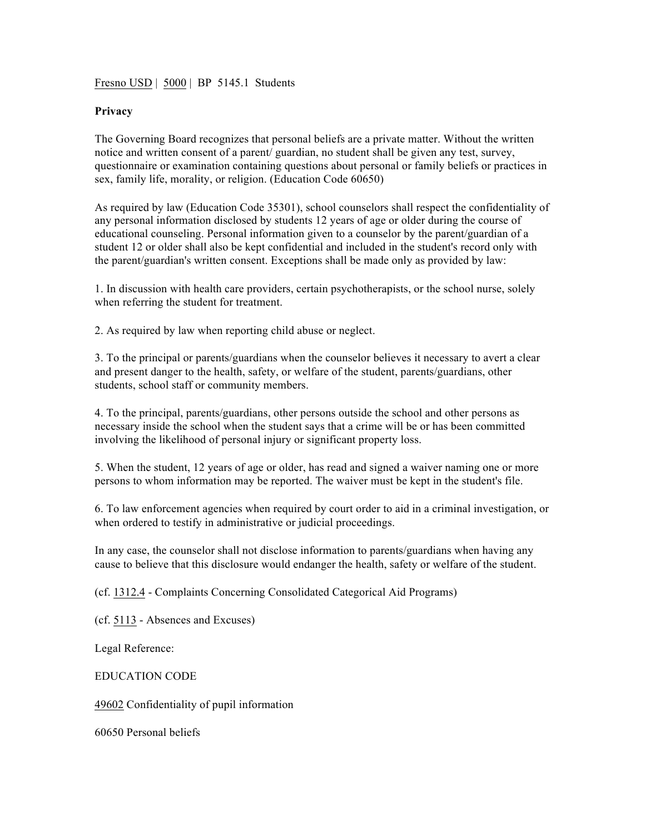Fresno USD | 5000 | BP 5145.1 Students

## **Privacy**

The Governing Board recognizes that personal beliefs are a private matter. Without the written notice and written consent of a parent/ guardian, no student shall be given any test, survey, questionnaire or examination containing questions about personal or family beliefs or practices in sex, family life, morality, or religion. (Education Code 60650)

As required by law (Education Code 35301), school counselors shall respect the confidentiality of any personal information disclosed by students 12 years of age or older during the course of educational counseling. Personal information given to a counselor by the parent/guardian of a student 12 or older shall also be kept confidential and included in the student's record only with the parent/guardian's written consent. Exceptions shall be made only as provided by law:

1. In discussion with health care providers, certain psychotherapists, or the school nurse, solely when referring the student for treatment.

2. As required by law when reporting child abuse or neglect.

3. To the principal or parents/guardians when the counselor believes it necessary to avert a clear and present danger to the health, safety, or welfare of the student, parents/guardians, other students, school staff or community members.

4. To the principal, parents/guardians, other persons outside the school and other persons as necessary inside the school when the student says that a crime will be or has been committed involving the likelihood of personal injury or significant property loss.

5. When the student, 12 years of age or older, has read and signed a waiver naming one or more persons to whom information may be reported. The waiver must be kept in the student's file.

6. To law enforcement agencies when required by court order to aid in a criminal investigation, or when ordered to testify in administrative or judicial proceedings.

In any case, the counselor shall not disclose information to parents/guardians when having any cause to believe that this disclosure would endanger the health, safety or welfare of the student.

(cf. 1312.4 - Complaints Concerning Consolidated Categorical Aid Programs)

(cf. 5113 - Absences and Excuses)

Legal Reference:

EDUCATION CODE

49602 Confidentiality of pupil information

60650 Personal beliefs